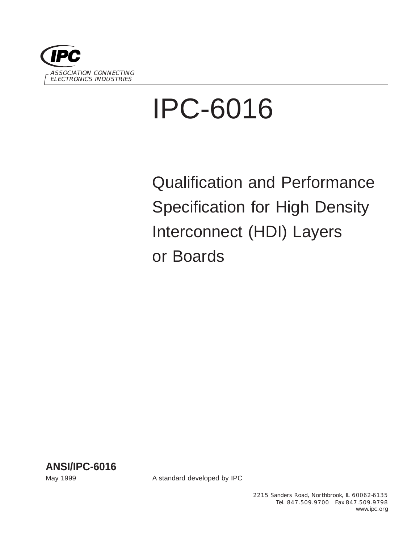

# IPC-6016

Qualification and Performance Specification for High Density Interconnect (HDI) Layers or Boards



May 1999 May 1999 **A standard developed by IPC**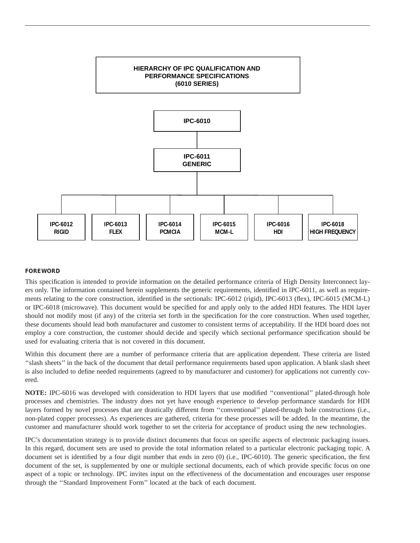

#### **FOREWORD**

This specification is intended to provide information on the detailed performance criteria of High Density Interconnect layers only. The information contained herein supplements the generic requirements, identified in IPC-6011, as well as requirements relating to the core construction, identified in the sectionals: IPC-6012 (rigid), IPC-6013 (flex), IPC-6015 (MCM-L) or IPC-6018 (microwave). This document would be specified for and apply only to the added HDI features. The HDI layer should not modify most (if any) of the criteria set forth in the specification for the core construction. When used together, these documents should lead both manufacturer and customer to consistent terms of acceptability. If the HDI board does not employ a core construction, the customer should decide and specify which sectional performance specification should be used for evaluating criteria that is not covered in this document.

Within this document there are a number of performance criteria that are application dependent. These criteria are listed ''slash sheets'' in the back of the document that detail performance requirements based upon application. A blank slash sheet is also included to define needed requirements (agreed to by manufacturer and customer) for applications not currently covered.

**NOTE:** IPC-6016 was developed with consideration to HDI layers that use modified ''conventional'' plated-through hole processes and chemistries. The industry does not yet have enough experience to develop performance standards for HDI layers formed by novel processes that are drastically different from ''conventional'' plated-through hole constructions (i.e., non-plated copper processes). As experiences are gathered, criteria for these processes will be added. In the meantime, the customer and manufacturer should work together to set the criteria for acceptance of product using the new technologies.

IPC's documentation strategy is to provide distinct documents that focus on specific aspects of electronic packaging issues. In this regard, document sets are used to provide the total information related to a particular electronic packaging topic. A document set is identified by a four digit number that ends in zero (0) (i.e., IPC-6010). The generic specification, the first document of the set, is supplemented by one or multiple sectional documents, each of which provide specific focus on one aspect of a topic or technology. IPC invites input on the effectiveness of the documentation and encourages user response through the ''Standard Improvement Form'' located at the back of each document.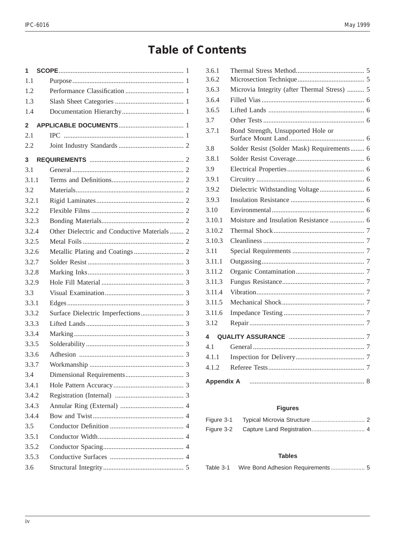# **Table of Contents**

| 1            |                                              |
|--------------|----------------------------------------------|
| 1.1          |                                              |
| 1.2          |                                              |
| 1.3          |                                              |
| 1.4          |                                              |
| $\mathbf{2}$ |                                              |
| 2.1          |                                              |
| 2.2          |                                              |
| 3            |                                              |
| 3.1          |                                              |
| 3.1.1        |                                              |
| 3.2          |                                              |
| 3.2.1        |                                              |
| 3.2.2        |                                              |
| 3.2.3        |                                              |
| 3.2.4        | Other Dielectric and Conductive Materials  2 |
| 3.2.5        |                                              |
| 3.2.6        |                                              |
| 3.2.7        |                                              |
| 3.2.8        |                                              |
| 3.2.9        |                                              |
| 3.3          |                                              |
| 3.3.1        |                                              |
| 3.3.2        |                                              |
| 3.3.3        |                                              |
| 3.3.4        |                                              |
| 3.3.5        |                                              |
| 3.3.6        |                                              |
| 3.3.7        |                                              |
| 34           |                                              |
| 3.4.1        |                                              |
| 3.4.2        |                                              |
| 3.4.3        |                                              |
| 3.4.4        |                                              |
| 3.5          |                                              |
| 3.5.1        |                                              |
| 3.5.2        |                                              |
| 3.5.3        |                                              |
| 3.6          |                                              |
|              |                                              |

| 3.6.1             |                                              |  |
|-------------------|----------------------------------------------|--|
| 3.6.2             |                                              |  |
| 3.6.3             | Microvia Integrity (after Thermal Stress)  5 |  |
| 3.6.4             |                                              |  |
| 3.6.5             |                                              |  |
| 3.7               |                                              |  |
| 3.7.1             | Bond Strength, Unsupported Hole or           |  |
| 3.8               | Solder Resist (Solder Mask) Requirements  6  |  |
| 3.8.1             |                                              |  |
| 3.9               |                                              |  |
| 3.9.1             |                                              |  |
| 3.9.2             |                                              |  |
| 3.9.3             |                                              |  |
| 3.10              |                                              |  |
| 3.10.1            |                                              |  |
| 3.10.2            |                                              |  |
| 3.10.3            |                                              |  |
| 3.11              |                                              |  |
| 3.11.1            |                                              |  |
| 3.11.2            |                                              |  |
| 3.11.3            |                                              |  |
| 3.11.4            |                                              |  |
| 3.11.5            |                                              |  |
| 3.11.6            |                                              |  |
| 3.12              |                                              |  |
| 4                 |                                              |  |
| 41                |                                              |  |
| 4.1.1             |                                              |  |
| 4.1.2             |                                              |  |
| <b>Appendix A</b> |                                              |  |

## **Figures**

| Figure 3-1 |  |
|------------|--|
| Figure 3-2 |  |

### **Tables**

| Table 3-1 |  |  |
|-----------|--|--|
|           |  |  |